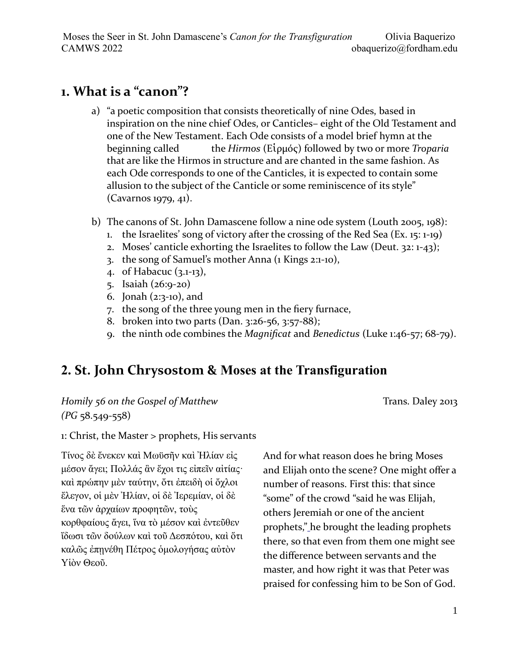# **1. What is a "canon"?**

- a) "a poetic composition that consists theoretically of nine Odes, based in inspiration on the nine chief Odes, or Canticles– eight of the Old Testament and one of the New Testament. Each Ode consists of a model brief hymn at the beginning called the *Hirmos* (Εἱρμός) followed by two or more *Troparia* that are like the Hirmos in structure and are chanted in the same fashion. As each Ode corresponds to one of the Canticles, it is expected to contain some allusion to the subject of the Canticle or some reminiscence of its style" (Cavarnos 1979, 41).
- b) The canons of St. John Damascene follow a nine ode system (Louth 2005, 198):
	- 1. the Israelites' song of victory after the crossing of the Red Sea (Ex. 15: 1-19)
	- 2. Moses' canticle exhorting the Israelites to follow the Law (Deut. 32: 1-43);
	- 3. the song of Samuel's mother Anna (1 Kings 2:1-10),
	- 4. of Habacuc (3.1-13),
	- 5. Isaiah (26:9-20)
	- 6. Jonah (2:3-10), and
	- 7. the song of the three young men in the fiery furnace,
	- 8. broken into two parts (Dan. 3:26-56, 3:57-88);
	- 9. the ninth ode combines the *Magnificat* and *Benedictus* (Luke 1:46-57; 68-79).

# **2. St. John Chrysostom & Moses at the Transfiguration**

*Homily 56 on the Gospel of Matthew (PG* 58.549-558)

Trans. Daley 2013

1: Christ, the Master > prophets, His servants

Τίνος δὲ ἔνεκεν καὶ Μωϋσῆν καὶ Ἠλίαν εἰς μέσον ἄγει; Πολλάς ἂν ἔχοι τις εἰπεῖν αἰτίας· καὶ πρώπην μὲν ταύτην, ὄτι ἐπειδὴ οἱ ὄχλοι ἔλεγον, οἱ μὲν Ἠλίαν, οἱ δὲ Ἰερεμίαν, οἱ δὲ ἕνα τῶν ἀρχαίων προφητῶν, τοὺς κορθφαίους ἄγει, ἵνα τὸ μέσον καὶ ἐντεῦθεν ἴδωσι τῶν δούλων καὶ τοῦ Δεσπότου, καὶ ὅτι καλῶς ἐπῃνέθη Πέτρος ὁμολογήσας αὐτὸν Υἱὸν Θεοῦ.

And for what reason does he bring Moses and Elijah onto the scene? One might offer a number of reasons. First this: that since "some" of the crowd "said he was Elijah, others Jeremiah or one of the ancient prophets," he brought the leading prophets there, so that even from them one might see the difference between servants and the master, and how right it was that Peter was praised for confessing him to be Son of God.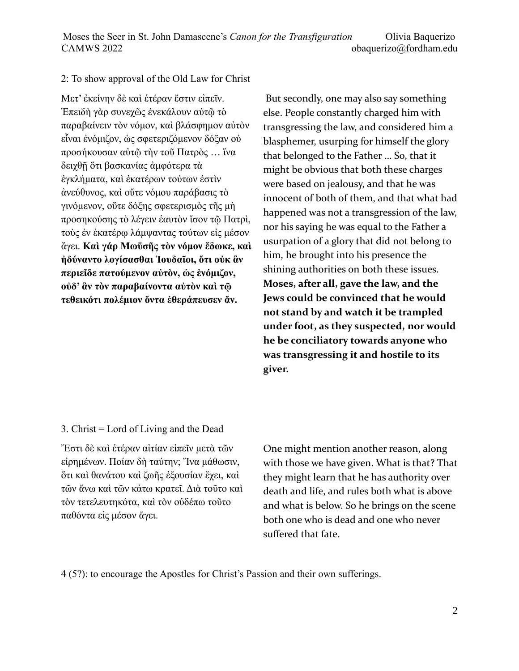#### 2: To show approval of the Old Law for Christ

Μετ' ἐκείνην δὲ καὶ ἑτέραν ἔστιν εἰπεῖν. Ἐπειδὴ γὰρ συνεχῶς ἐνεκάλουν αὐτῷ τὸ παραβαίνειν τὸν νόμον, καὶ βλάσφημον αὐτὸν εἶναι ἐνόμιζον, ὡς σφετεριζόμενον δόξαν οὐ προσήκουσαν αὐτῷ τὴν τοῦ Πατρὸς … ἵνα δειχθῇ ὅτι βασκανίας ἀμφότερα τὰ ἐγκλήματα, καὶ ἑκατέρων τούτων ἐστὶν ἀνεύθυνος, καὶ οὔτε νόμου παράβασις τὸ γινόμενον, οὔτε δόξης σφετερισμὸς τῆς μὴ προσηκούσης τὸ λέγειν ἑαυτὸν ἴσον τῷ Πατρὶ, τοὺς ἐν ἑκατέρῳ λάμψαντας τούτων εἰς μέσον ἄγει. **Καὶ γάρ Μωϋσῆς τὸν νόμον ἔδωκε, καὶ ἠδύναντο λογίσασθαι Ἰουδαῖοι, ὅτι οὐκ ἂν περιεῖδε πατούμενον αὐτὸν, ὡς ἐνόμιζον, οὐδ' ἂν τὸν παραβαίνοντα αὐτὸν καὶ τῷ τεθεικότι πολέμιον ὄντα ἐθεράπευσεν ἄν.** 

 But secondly, one may also say something else. People constantly charged him with transgressing the law, and considered him a blasphemer, usurping for himself the glory that belonged to the Father … So, that it might be obvious that both these charges were based on jealousy, and that he was innocent of both of them, and that what had happened was not a transgression of the law, nor his saying he was equal to the Father a usurpation of a glory that did not belong to him, he brought into his presence the shining authorities on both these issues. **Moses, after all, gave the law, and the Jews could be convinced that he would not stand by and watch it be trampled under foot, as they suspected, nor would he be conciliatory towards anyone who was transgressing it and hostile to its giver.** 

#### 3. Christ = Lord of Living and the Dead

Ἔστι δὲ καὶ ἑτέραν αἰτίαν εἰπεῖν μετὰ τῶν εἰρημένων. Ποίαν δὴ ταύτην; Ἴνα μάθωσιν, ὅτι καὶ θανάτου καὶ ζωῆς ἐξουσίαν ἔχει, καὶ τῶν ἄνω καὶ τῶν κάτω κρατεῖ. Διὰ τοῦτο καὶ τὸν τετελευτηκότα, καὶ τὸν οὐδέπω τοῦτο παθόντα εἰς μέσον ἄγει.

One might mention another reason, along with those we have given. What is that? That they might learn that he has authority over death and life, and rules both what is above and what is below. So he brings on the scene both one who is dead and one who never suffered that fate.

4 (5?): to encourage the Apostles for Christ's Passion and their own sufferings.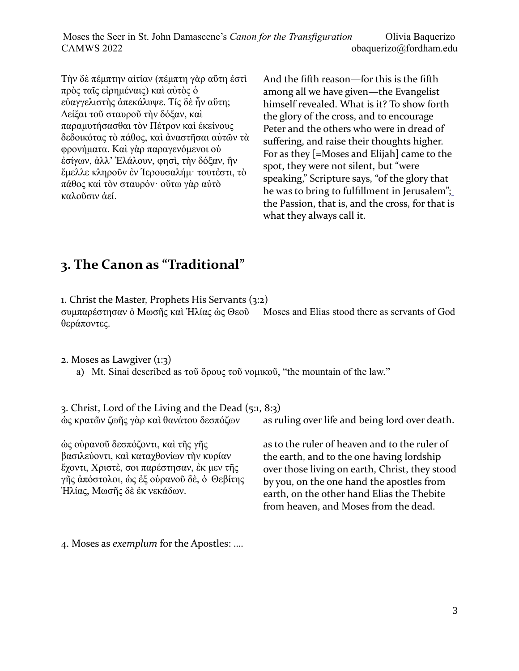Moses the Seer in St. John Damascene's *Canon for the Transfiguration* Olivia Baquerizo CAMWS 2022 obaquerizo@fordham.edu

Τὴν δὲ πέμπτην αἰτίαν (πέμπτη γὰρ αὕτη ἐστὶ πρὸς ταῖς εἰρημέναις) καὶ αὐτὸς ὁ εὐαγγελιστὴς ἀπεκάλυψε. Τίς δὲ ἦν αὕτη; Δείξαι τοῦ σταυροῦ τὴν δόξαν, καὶ παραμυτήσασθαι τὸν Πέτρον καὶ ἐκείνους δεδοικότας τὸ πάθος, καὶ ἀναστῆσαι αὐτῶν τὰ φρονήματα. Καὶ γὰρ παραγενόμενοι οὐ ἐσίγων, ἀλλ' Ἐλάλουν, φησὶ, τὴν δόξαν, ἢν ἔμελλε κληροῦν ἐν Ἱερουσαλήμ· τουτἐστι, τὸ πάθος καὶ τὸν σταυρόν· οὕτω γὰρ αὐτὸ καλοῦσιν ἀεί.

And the fifth reason—for this is the fifth among all we have given—the Evangelist himself revealed. What is it? To show forth the glory of the cross, and to encourage Peter and the others who were in dread of suffering, and raise their thoughts higher. For as they [=Moses and Elijah] came to the spot, they were not silent, but "were speaking," Scripture says, "of the glory that he was to bring to fulfillment in Jerusalem"; the Passion, that is, and the cross, for that is what they always call it.

# **3. The Canon as "Traditional"**

1. Christ the Master, Prophets His Servants (3:2)

συμπαρέστησαν ὁ Μωσῆς καὶ Ἠλίας ὡς Θεοῦ θεράποντες. Moses and Elias stood there as servants of God

2. Moses as Lawgiver (1:3)

a) Mt. Sinai described as τοῦ ὄρους τοῦ νομικοῦ, "the mountain of the law."

3. Christ, Lord of the Living and the Dead (5:1, 8:3) ὡς κρατῶν ζωῆς γὰρ καὶ θανάτου δεσπόζων as ruling over life and being lord over death.

ὡς οὐρανοῦ δεσπόζοντι, καὶ τῆς γῆς βασιλεύοντι, καὶ καταχθονίων τὴν κυρίαν ἔχοντι, Χριστὲ, σοι παρέστησαν, ἐκ μεν τῆς γῆς ἀπόστολοι, ὡς ἐξ οὐρανοῦ δὲ, ὀ Θεβίτης Ἡλίας, Μωσῆς δὲ ἐκ νεκάδων.

as to the ruler of heaven and to the ruler of the earth, and to the one having lordship over those living on earth, Christ, they stood by you, on the one hand the apostles from earth, on the other hand Elias the Thebite from heaven, and Moses from the dead.

4. Moses as *exemplum* for the Apostles: ….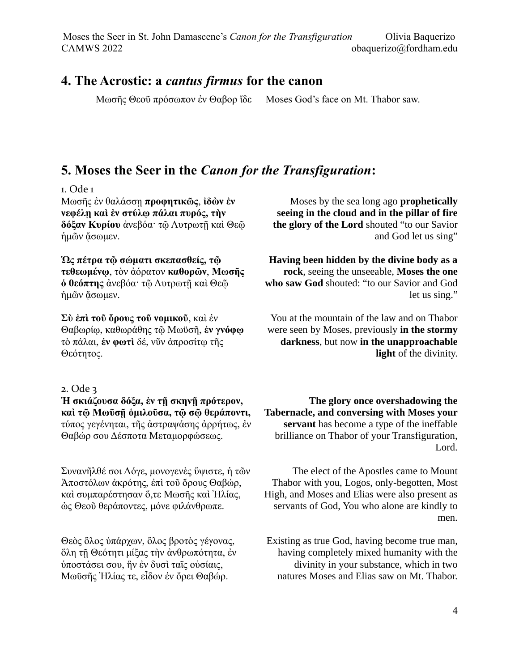## **4. The Acrostic: a** *cantus firmus* **for the canon**

Μωσῆς Θεοῦ πρόσωπον ἐν Θαβορ ἴδε Moses God's face on Mt. Thabor saw.

# **5. Moses the Seer in the** *Canon for the Transfiguration***:**

#### 1. Ode 1

Μωσῆς ἐν θαλάσσῃ **προφητικῶς**, **ἰδὼν ἐν νεφέλῃ καὶ ἐν στύλῳ πάλαι πυρός, τὴν δόξαν Κυρίου** ἀνεβόα· τῷ Λυτρωτῇ καὶ Θεῷ ήμων άσωμεν.

**Ὡς πέτρα τῷ σώματι σκεπασθείς, τῷ τεθεωμένῳ**, τὸν ἀόρατον **καθορῶν**, **Μωσῆς ὁ θεόπτης** ἀνεβόα· τῷ Λυτρωτῇ καὶ Θεῷ ήμῶν ἄσωμεν.

**Σὺ ἐπὶ τοῦ ὄρους τοῦ νομικοῦ**, καὶ ἐν Θαβωρίῳ, καθωράθης τῷ Μωϋσῆ, **ἐν γνόφῳ** τὸ πάλαι, **ἐν φωτὶ** δέ, νῦν ἀπροσίτῳ τῆς Θεότητος.

### 2. Ode 3

**Ἡ σκιάζουσα δόξα, ἐν τῇ σκηνῇ πρότερον, καὶ τῷ Μωϋσῇ ὁμιλοῦσα, τῷ σῷ θεράποντι,** τύπος γεγένηται, τῆς ἀστραψάσης ἀρρήτως, ἐν Θαβώρ σου Δέσποτα Μεταμορφώσεως.

Συνανῆλθέ σοι Λόγε, μονογενὲς ὕψιστε, ἡ τῶν Ἀποστόλων ἀκρότης, ἐπὶ τοῦ ὄρους Θαβώρ, καὶ συμπαρέστησαν ὅ,τε Μωσῆς καὶ Ἠλίας, ὡς Θεοῦ θεράποντες, μόνε φιλάνθρωπε.

Θεὸς ὅλος ὑπάρχων, ὅλος βροτὸς γέγονας, ὅλη τῇ Θεότητι μίξας τὴν ἀνθρωπότητα, ἐν ὑποστάσει σου, ἣν ἐν δυσὶ ταῖς οὐσίαις, Μωϋσῆς Ἠλίας τε, εἶδον ἐν ὄρει Θαβώρ.

Moses by the sea long ago **prophetically seeing in the cloud and in the pillar of fire the glory of the Lord** shouted "to our Savior and God let us sing"

**Having been hidden by the divine body as a rock**, seeing the unseeable, **Moses the one who saw God** shouted: "to our Savior and God let us sing."

You at the mountain of the law and on Thabor were seen by Moses, previously **in the stormy darkness**, but now **in the unapproachable light** of the divinity.

**The glory once overshadowing the Tabernacle, and conversing with Moses your servant** has become a type of the ineffable brilliance on Thabor of your Transfiguration, Lord.

The elect of the Apostles came to Mount Thabor with you, Logos, only-begotten, Most High, and Moses and Elias were also present as servants of God, You who alone are kindly to men.

Existing as true God, having become true man, having completely mixed humanity with the divinity in your substance, which in two natures Moses and Elias saw on Mt. Thabor.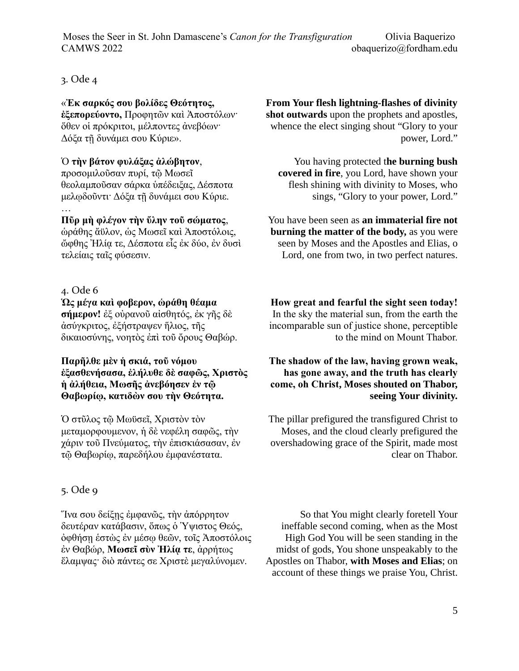Moses the Seer in St. John Damascene's *Canon for the Transfiguration* Olivia Baquerizo CAMWS 2022 obaquerizo@fordham.edu

#### 3. Ode 4

#### «**Ἐκ σαρκός σου βολίδες Θεότητος,**

**ἐξεπορεύοντο,** Προφητῶν καὶ Ἀποστόλων· ὅθεν οἱ πρόκριτοι, μέλποντες ἀνεβόων· Δόξα τῇ δυνάμει σου Κύριε».

#### Ὁ **τὴν βάτον φυλάξας ἀλώβητον**,

προσομιλοῦσαν πυρί, τῷ Μωσεῖ θεολαμποῦσαν σάρκα ὑπέδειξας, Δέσποτα μελῳδοῦντι· Δόξα τῇ δυνάμει σου Κύριε. .<br>…

**Πῦρ μὴ φλέγον τὴν ὕλην τοῦ σώματος**, ὡράθης ἄϋλον, ὡς Μωσεῖ καὶ Ἀποστόλοις, ὤφθης Ἠλίᾳ τε, Δέσποτα εἷς ἐκ δύο, ἐν δυσὶ τελείαις ταῖς φύσεσιν.

#### 4. Ode 6

#### **Ὡς μέγα καὶ φοβερον, ὡράθη θέαμα**

**σήμερον!** ἐξ οὐρανοῦ αἰσθητός, ἐκ γῆς δὲ ἀσύγκριτος, ἐξήστραψεν ἥλιος, τῆς δικαιοσύνης, νοητὸς ἐπὶ τοῦ ὄρους Θαβώρ.

#### **Παρῆλθε μὲν ἡ σκιά, τοῦ νόμου ἐξασθενήσασα, ἐλήλυθε δὲ σαφῶς, Χριστὸς ἡ ἀλήθεια, Μωσῆς ἀνεβόησεν ἐν τῷ Θαβωρίῳ, κατιδὼν σου τὴν Θεότητα.**

Ὁ στῦλος τῷ Μωϋσεῖ, Χριστὸν τὸν μεταμορφουμενον, ἡ δὲ νεφέλη σαφῶς, τὴν χάριν τοῦ Πνεύματος, τὴν ἐπισκιάσασαν, ἐν τῷ Θαβωρίῳ, παρεδήλου ἐμφανέστατα.

#### 5. Ode 9

Ἵνα σου δείξῃς ἐμφανῶς, τὴν ἀπόρρητον δευτέραν κατάβασιν, ὅπως ὁ Ὑψιστος Θεός, ὀφθήσῃ ἑστὼς ἐν μέσῳ θεῶν, τοῖς Ἀποστόλοις ἐν Θαβώρ, **Μωσεῖ σὺν Ἠλίᾳ τε**, ἀρρήτως ἔλαμψας· διὸ πάντες σε Χριστὲ μεγαλύνομεν.

**From Your flesh lightning-flashes of divinity shot outwards** upon the prophets and apostles, whence the elect singing shout "Glory to your power, Lord."

You having protected t**he burning bush covered in fire**, you Lord, have shown your flesh shining with divinity to Moses, who sings, "Glory to your power, Lord."

You have been seen as **an immaterial fire not burning the matter of the body,** as you were seen by Moses and the Apostles and Elias, o Lord, one from two, in two perfect natures.

**How great and fearful the sight seen today!** In the sky the material sun, from the earth the incomparable sun of justice shone, perceptible to the mind on Mount Thabor.

#### **The shadow of the law, having grown weak, has gone away, and the truth has clearly come, oh Christ, Moses shouted on Thabor, seeing Your divinity.**

The pillar prefigured the transfigured Christ to Moses, and the cloud clearly prefigured the overshadowing grace of the Spirit, made most clear on Thabor.

So that You might clearly foretell Your ineffable second coming, when as the Most High God You will be seen standing in the midst of gods, You shone unspeakably to the Apostles on Thabor, **with Moses and Elias**; on account of these things we praise You, Christ.